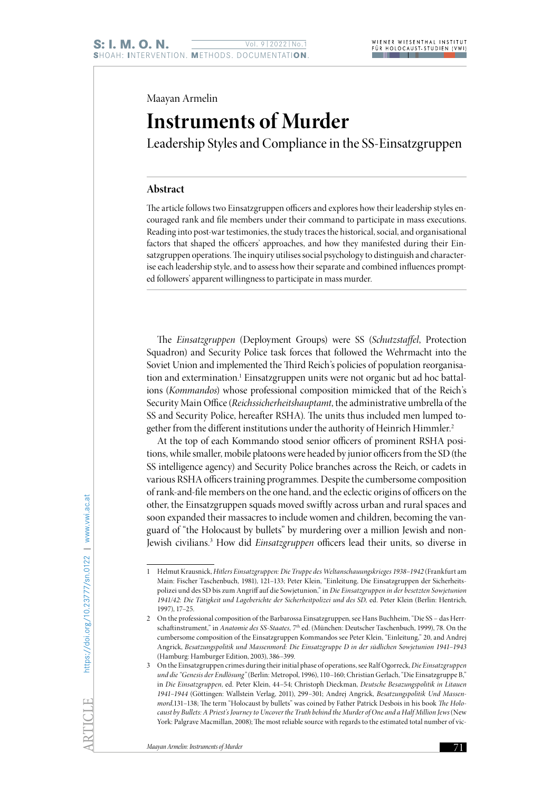Maayan Armelin

## **Instruments of Murder**

Leadership Styles and Compliance in the SS-Einsatzgruppen

## **Abstract**

The article follows two Einsatzgruppen officers and explores how their leadership styles encouraged rank and file members under their command to participate in mass executions. Reading into post-war testimonies, the study traces the historical, social, and organisational factors that shaped the officers' approaches, and how they manifested during their Einsatzgruppen operations. The inquiry utilises social psychology to distinguish and characterise each leadership style, and to assess how their separate and combined influences prompted followers' apparent willingness to participate in mass murder.

The *Einsatzgruppen* (Deployment Groups) were SS (*Schutzstaffel*, Protection Squadron) and Security Police task forces that followed the Wehrmacht into the Soviet Union and implemented the Third Reich's policies of population reorganisation and extermination.<sup>1</sup> Einsatzgruppen units were not organic but ad hoc battalions (*Kommandos*) whose professional composition mimicked that of the Reich's Security Main Office (*Reichssicherheitshauptamt*, the administrative umbrella of the SS and Security Police, hereafter RSHA). The units thus included men lumped together from the different institutions under the authority of Heinrich Himmler.<sup>2</sup>

At the top of each Kommando stood senior officers of prominent RSHA positions, while smaller, mobile platoons were headed by junior officers from the SD (the SS intelligence agency) and Security Police branches across the Reich, or cadets in various RSHA officers training programmes. Despite the cumbersome composition of rank-and-file members on the one hand, and the eclectic origins of officers on the other, the Einsatzgruppen squads moved swiftly across urban and rural spaces and soon expanded their massacres to include women and children, becoming the vanguard of "the Holocaust by bullets" by murdering over a million Jewish and non-Jewish civilians.3 How did *Einsatzgruppen* officers lead their units, so diverse in

<sup>1</sup> Helmut Krausnick, *Hitlers Einsatzgruppen: Die Truppe des Weltanschauungskrieges 1938–1942* (Frankfurt am Main: Fischer Taschenbuch, 1981), 121–133; Peter Klein, "Einleitung, Die Einsatzgruppen der Sicherheitspolizei und des SD bis zum Angriff auf die Sowjetunion," in *Die Einsatzgruppen in der besetzten Sowjetunion 1941/42: Die Tätigkeit und Lageberichte der Sicherheitpolizei und des SD,* ed. Peter Klein (Berlin: Hentrich, 1997), 17–25.

<sup>2</sup> On the professional composition of the Barbarossa Einsatzgruppen, see Hans Buchheim, "Die SS – das Herrschaftinstrument," in *Anatomie des SS-Staates,* 7th ed. (München: Deutscher Taschenbuch, 1999), 78. On the cumbersome composition of the Einsatzgruppen Kommandos see Peter Klein, "Einleitung," 20, and Andrej Angrick, *Besatzungspolitik und Massenmord: Die Einsatzgruppe D in der südlichen Sowjetunion 1941–1943* (Hamburg: Hamburger Edition, 2003), 386–399.

<sup>3</sup> On the Einsatzgruppen crimes during their initial phase of operations, see Ralf Ogorreck, *Die Einsatzgruppen und die "Genesis der Endlösung"* (Berlin: Metropol, 1996), 110–160; Christian Gerlach, "Die Einsatzgruppe B," in *Die Einsatzgruppen*, ed. Peter Klein, 44–54; Christoph Dieckman, *Deutsche Besazungspolitik in Litauen 1941–1944* (Göttingen: Wallstein Verlag, 2011), 299–301; Andrej Angrick, *Besatzungspolitik Und Massenmord,*131–138; The term "Holocaust by bullets" was coined by Father Patrick Desbois in his book *The Holocaust by Bullets: A Priest's Journey to Uncover the Truth behind the Murder of One and a Half Million Jews* (New York: Palgrave Macmillan, 2008); The most reliable source with regards to the estimated total number of vic-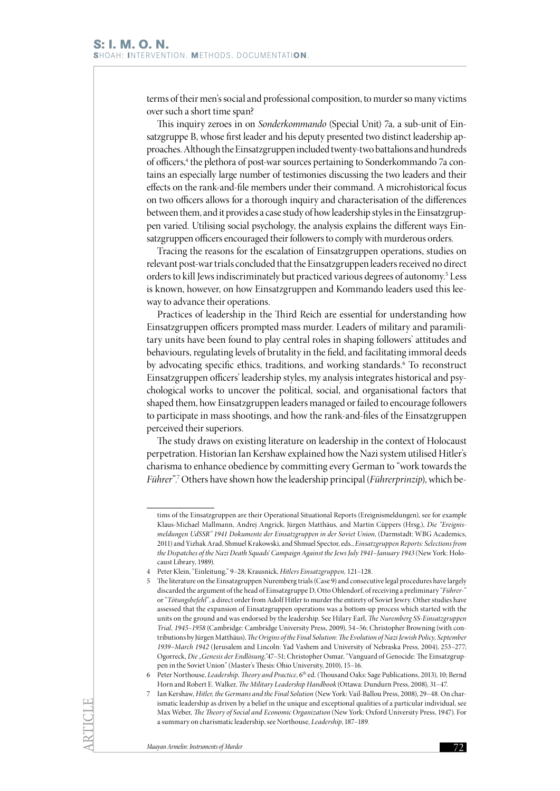terms of their men's social and professional composition, to murder so many victims over such a short time span?

This inquiry zeroes in on *Sonderkommando* (Special Unit) 7a, a sub-unit of Einsatzgruppe B, whose first leader and his deputy presented two distinct leadership approaches. Although the Einsatzgruppen included twenty-two battalions and hundreds of officers,<sup>4</sup> the plethora of post-war sources pertaining to Sonderkommando 7a contains an especially large number of testimonies discussing the two leaders and their effects on the rank-and-file members under their command. A microhistorical focus on two officers allows for a thorough inquiry and characterisation of the differences between them, and it provides a case study of how leadership styles in the Einsatzgruppen varied. Utilising social psychology, the analysis explains the different ways Einsatzgruppen officers encouraged their followers to comply with murderous orders.

Tracing the reasons for the escalation of Einsatzgruppen operations, studies on relevant post-war trials concluded that the Einsatzgruppen leaders received no direct orders to kill Jews indiscriminately but practiced various degrees of autonomy.<sup>5</sup> Less is known, however, on how Einsatzgruppen and Kommando leaders used this leeway to advance their operations.

Practices of leadership in the Third Reich are essential for understanding how Einsatzgruppen officers prompted mass murder. Leaders of military and paramilitary units have been found to play central roles in shaping followers' attitudes and behaviours, regulating levels of brutality in the field, and facilitating immoral deeds by advocating specific ethics, traditions, and working standards.<sup>6</sup> To reconstruct Einsatzgruppen officers' leadership styles, my analysis integrates historical and psychological works to uncover the political, social, and organisational factors that shaped them, how Einsatzgruppen leaders managed or failed to encourage followers to participate in mass shootings, and how the rank-and-files of the Einsatzgruppen perceived their superiors.

The study draws on existing literature on leadership in the context of Holocaust perpetration. Historian Ian Kershaw explained how the Nazi system utilised Hitler's charisma to enhance obedience by committing every German to "work towards the *Führer*".7 Others have shown how the leadership principal (*Führerprinzip*), which be-

tims of the Einsatzgruppen are their Operational Situational Reports (Ereignismeldungen), see for example Klaus-Michael Mallmann, Andrej Angrick, Jürgen Matthäus, and Martin Cüppers (Hrsg.), *Die "Ereignismeldungen UdSSR" 1941 Dokumente der Einsatzgruppen in der Soviet Union*, (Darmstadt: WBG Academics, 2011) and Yizhak Arad, Shmuel Krakowski, and Shmuel Spector, eds., *Einsatzgruppen Reports: Selections from the Dispatches of the Nazi Death Squads' Campaign Against the Jews July 1941–January 1943* (New York: Holocaust Library, 1989).

<sup>4</sup> Peter Klein, "Einleitung," 9–28; Krausnick, *Hitlers Einsatzgruppen,* 121–128.

<sup>5</sup> The literature on the Einsatzgruppen Nuremberg trials (Case 9) and consecutive legal procedures have largely discarded the argument of the head of Einsatzgruppe D, Otto Ohlendorf, of receiving a preliminary "*Führer*-" or "*Tötungsbefehl*", a direct order from Adolf Hitler to murder the entirety of Soviet Jewry. Other studies have assessed that the expansion of Einsatzgruppen operations was a bottom-up process which started with the units on the ground and was endorsed by the leadership. See Hilary Earl, *The Nuremberg SS-Einsatzgruppen Trial, 1945–1958* (Cambridge: Cambridge University Press, 2009), 54–56; Christopher Browning (with contributions by Jürgen Matthäus), *The Origins of the Final Solution: The Evolution of Nazi Jewish Policy, September 1939–March 1942* (Jerusalem and Lincoln: Yad Vashem and University of Nebraska Press, 2004), 253–277; Ogorreck, *Die "Genesis der Endlösung*,*"*47–51; Christopher Osmar, "Vanguard of Genocide: The Einsatzgruppen in the Soviet Union" (Master's Thesis: Ohio University, 2010), 15–16.

<sup>6</sup> Peter Northouse, *Leadership, Theory and Practice*, 6th ed. (Thousand Oaks: Sage Publications, 2013), 10; Bernd Horn and Robert E. Walker, *The Military Leadership Handbook* (Ottawa: Dundurn Press, 2008), 31–47.

<sup>7</sup> Ian Kershaw, *Hitler, the Germans and the Final Solution* (New York: Vail-Ballou Press, 2008), 29–48. On charismatic leadership as driven by a belief in the unique and exceptional qualities of a particular individual, see Max Weber, *The Theory of Social and Economic Organization* (New York: Oxford University Press, 1947). For a summary on charismatic leadership, see Northouse, *Leadership*, 187–189.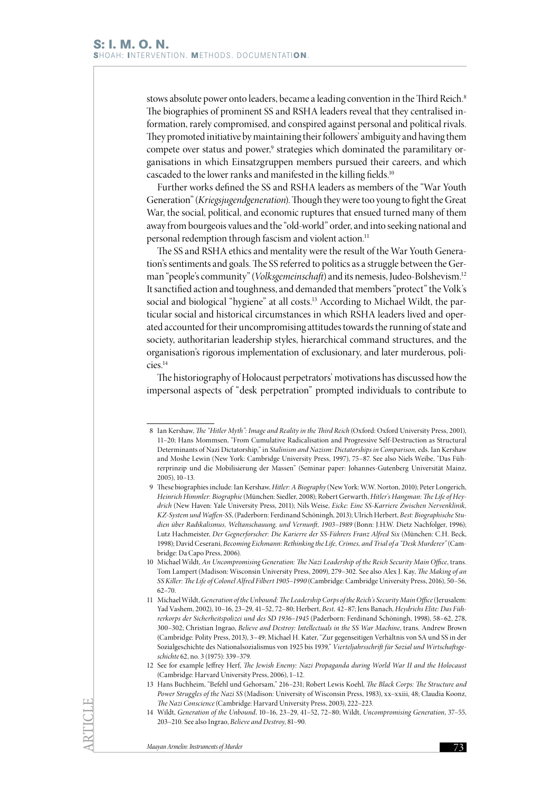stows absolute power onto leaders, became a leading convention in the Third Reich.<sup>8</sup> The biographies of prominent SS and RSHA leaders reveal that they centralised information, rarely compromised, and conspired against personal and political rivals. They promoted initiative by maintaining their followers' ambiguity and having them compete over status and power,<sup>9</sup> strategies which dominated the paramilitary organisations in which Einsatzgruppen members pursued their careers, and which cascaded to the lower ranks and manifested in the killing fields.<sup>10</sup>

Further works defined the SS and RSHA leaders as members of the "War Youth Generation" (*Kriegsjugendgeneration*). Though they were too young to fight the Great War, the social, political, and economic ruptures that ensued turned many of them away from bourgeois values and the "old-world" order, and into seeking national and personal redemption through fascism and violent action.<sup>11</sup>

The SS and RSHA ethics and mentality were the result of the War Youth Generation's sentiments and goals. The SS referred to politics as a struggle between the German "people's community" (*Volksgemeinschaft*) and its nemesis, Judeo-Bolshevism.12 It sanctified action and toughness, and demanded that members "protect" the Volk's social and biological "hygiene" at all costs.<sup>13</sup> According to Michael Wildt, the particular social and historical circumstances in which RSHA leaders lived and operated accounted for their uncompromising attitudes towards the running of state and society, authoritarian leadership styles, hierarchical command structures, and the organisation's rigorous implementation of exclusionary, and later murderous, policies.14

The historiography of Holocaust perpetrators' motivations has discussed how the impersonal aspects of "desk perpetration" prompted individuals to contribute to

<sup>8</sup> Ian Kershaw, *The "Hitler Myth": Image and Reality in the Third Reich* (Oxford: Oxford University Press, 2001), 11–20; Hans Mommsen, "From Cumulative Radicalisation and Progressive Self-Destruction as Structural Determinants of Nazi Dictatorship," in *Stalinism and Nazism: Dictatorships in Comparison,* eds. Ian Kershaw and Moshe Lewin (New York: Cambridge University Press, 1997), 75–87. See also Niels Weibe, "Das Führerprinzip und die Mobilisierung der Massen" (Seminar paper: Johannes-Gutenberg Universität Mainz, 2005), 10–13.

<sup>9</sup> These biographies include: Ian Kershaw, *Hitler: A Biography* (New York: W.W. Norton, 2010); Peter Longerich, *Heinrich Himmler: Biographie* (München: Siedler, 2008); Robert Gerwarth, *Hitler's Hangman: The Life of Heydrich* (New Haven: Yale University Press, 2011); Nils Weise, *Eicke: Eine SS-Karriere Zwischen Nervenklinik, KZ-System und Waffen-SS*, (Paderborn: Ferdinand Schöningh, 2013); Ulrich Herbert, *Best: Biographische Studien über Radikalismus, Weltanschauung, und Vernunft, 1903–1989* (Bonn: J.H.W. Dietz Nachfolger, 1996); Lutz Hachmeister, *Der Gegnerforscher: Die Karierre der SS-Führers Franz Alfred Six* (München: C.H. Beck, 1998); David Ceserani, *Becoming Eichmann: Rethinking the Life, Crimes, and Trial of a "Desk Murderer"* (Cambridge: Da Capo Press, 2006).

<sup>10</sup> Michael Wildt, *An Uncompromising Generation: The Nazi Leadership of the Reich Security Main Office*, trans. Tom Lampert (Madison: Wisconsin University Press, 2009), 279–302. See also Alex J. Kay, *The Making of an SS Killer: The Life of Colonel Alfred Filbert 1905–1990* (Cambridge: Cambridge University Press, 2016), 50–56, 62–70.

<sup>11</sup> Michael Wildt, *Generation of the Unbound:The Leadership Corps of the Reich's Security Main Office* (Jerusalem: Yad Vashem, 2002), 10–16, 23–29, 41–52, 72–80; Herbert, *Best,* 42–87; Jens Banach, *Heydrichs Elite: Das Führerkorps der Sicherheitspolizei und des SD 1936–1945* (Paderborn: Ferdinand Schöningh, 1998), 58–62, 278, 300–302; Christian Ingrao, *Believe and Destroy: Intellectuals in the SS War Machine*, trans. Andrew Brown (Cambridge: Polity Press, 2013), 3–49; Michael H. Kater, "Zur gegenseitigen Verhältnis von SA und SS in der Sozialgeschichte des Nationalsozialismus von 1925 bis 1939," *Vierteljahrsschrift für Sozial und Wirtschaftsgeschichte* 62, no. 3 (1975): 339–379.

<sup>12</sup> See for example Jeffrey Herf, *The Jewish Enemy: Nazi Propaganda during World War II and the Holocaust* (Cambridge: Harvard University Press, 2006), 1–12.

<sup>13</sup> Hans Buchheim, "Befehl und Gehorsam," 216–231; Robert Lewis Koehl, *The Black Corps: The Structure and Power Struggles of the Nazi SS* (Madison: University of Wisconsin Press, 1983), xx–xxiii, 48; Claudia Koonz, *The Nazi Conscience* (Cambridge: Harvard University Press, 2003), 222–223.

<sup>14</sup> Wildt, *Generation of the Unbound*, 10–16, 23–29, 41–52, 72–80; Wildt, *Uncompromising Generation*, 37–55, 203–210. See also Ingrao, *Believe and Destroy*, 81–90.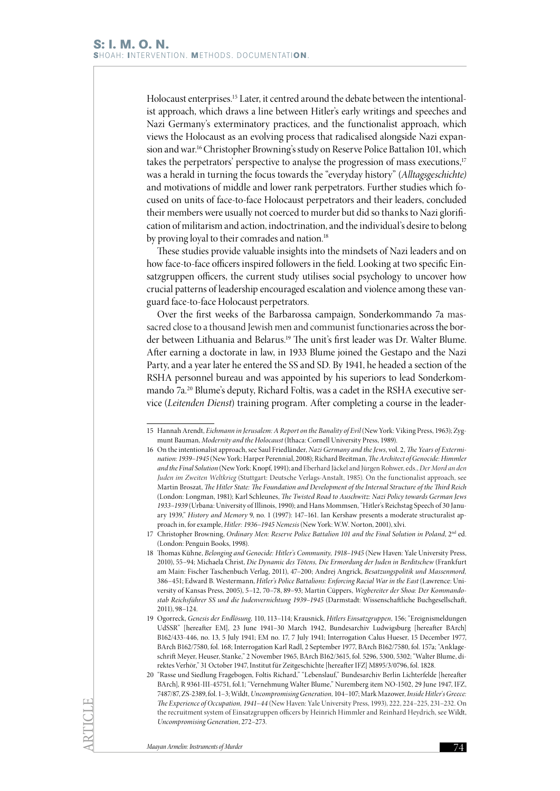Holocaust enterprises.15 Later, it centred around the debate between the intentionalist approach, which draws a line between Hitler's early writings and speeches and Nazi Germany's exterminatory practices, and the functionalist approach, which views the Holocaust as an evolving process that radicalised alongside Nazi expansion and war.<sup>16</sup> Christopher Browning's study on Reserve Police Battalion 101, which takes the perpetrators' perspective to analyse the progression of mass executions,<sup>17</sup> was a herald in turning the focus towards the "everyday history" (*Alltagsgeschichte)* and motivations of middle and lower rank perpetrators. Further studies which focused on units of face-to-face Holocaust perpetrators and their leaders, concluded their members were usually not coerced to murder but did so thanks to Nazi glorification of militarism and action, indoctrination, and the individual's desire to belong by proving loyal to their comrades and nation.<sup>18</sup>

These studies provide valuable insights into the mindsets of Nazi leaders and on how face-to-face officers inspired followers in the field. Looking at two specific Einsatzgruppen officers, the current study utilises social psychology to uncover how crucial patterns of leadership encouraged escalation and violence among these vanguard face-to-face Holocaust perpetrators.

Over the first weeks of the Barbarossa campaign, Sonderkommando 7a massacred close to a thousand Jewish men and communist functionaries across the border between Lithuania and Belarus.<sup>19</sup> The unit's first leader was Dr. Walter Blume. After earning a doctorate in law, in 1933 Blume joined the Gestapo and the Nazi Party, and a year later he entered the SS and SD. By 1941, he headed a section of the RSHA personnel bureau and was appointed by his superiors to lead Sonderkommando 7a.<sup>20</sup> Blume's deputy, Richard Foltis, was a cadet in the RSHA executive service (*Leitenden Dienst*) training program. After completing a course in the leader-

<sup>15</sup> Hannah Arendt, *Eichmann in Jerusalem: A Report on the Banality of Evil* (New York: Viking Press, 1963); Zygmunt Bauman, *Modernity and the Holocaust* (Ithaca: Cornell University Press, 1989).

<sup>16</sup> On the intentionalist approach, see Saul Friedländer, *Nazi Germany and the Jews*, vol. 2, *The Years of Extermination: 1939–1945* (New York: Harper Perennial, 2008); Richard Breitman, *The Architect of Genocide: Himmler and the Final Solution* (New York: Knopf, 1991); and Eberhard Jäckel and Jürgen Rohwer, eds., *Der Mord an den Juden im Zweiten Weltkrieg* (Stuttgart: Deutsche Verlags-Anstalt, 1985). On the functionalist approach, see Martin Broszat, *The Hitler State: The Foundation and Development of the Internal Structure of the Third Reich* (London: Longman, 1981); Karl Schleunes, *The Twisted Road to Auschwitz: Nazi Policy towards German Jews 1933–1939* (Urbana: University of Illinois, 1990); and Hans Mommsen, "Hitler's Reichstag Speech of 30 January 1939," *History and Memory* 9, no. 1 (1997): 147–161. Ian Kershaw presents a moderate structuralist approach in, for example, *Hitler: 1936–1945 Nemesis* (New York: W.W. Norton, 2001), xlvi.

<sup>17</sup> Christopher Browning, *Ordinary Men: Reserve Police Battalion 101 and the Final Solution in Poland*, 2<sup>nd</sup> ed. (London: Penguin Books, 1998).

<sup>18</sup> Thomas Kühne, *Belonging and Genocide: Hitler's Community, 1918–1945* (New Haven: Yale University Press, 2010), 55–94; Michaela Christ, *Die Dynamic des Tötens, Die Ermordung der Juden in Berditschew* (Frankfurt am Main: Fischer Taschenbuch Verlag, 2011), 47–200; Andrej Angrick, *Besatzungspolitik und Massenmord,*  386–451; Edward B. Westermann, *Hitler's Police Battalions: Enforcing Racial War in the East* (Lawrence: University of Kansas Press, 2005), 5–12, 70–78, 89–93; Martin Cüppers, *Wegbereiter der Shoa: Der Kommandostab Reichsführer SS und die Judenvernichtung 1939–1945* (Darmstadt: Wissenschaftliche Buchgesellschaft, 2011), 98–124.

<sup>19</sup> Ogorreck, *Genesis der Endlösung,* 110, 113–114; Krausnick, *Hitlers Einsatzgruppen,* 156; "Ereignismeldungen UdSSR" [hereafter EM], 23 June 1941–30 March 1942, Bundesarchiv Ludwigsburg [hereafter BArch] B162/433-446, no. 13, 5 July 1941; EM no. 17, 7 July 1941; Interrogation Calus Hueser, 15 December 1977, BArch B162/7580, fol. 168; Interrogation Karl Radl, 2 September 1977, BArch B162/7580, fol. 157a; "Anklageschrift Meyer, Heuser, Stanke," 2 November 1965, BArch B162/3615, fol. 5296, 5300, 5302; "Walter Blume, direktes Verhör," 31 October 1947, Institut für Zeitgeschichte [hereafter IFZ] M895/3/0796, fol. 1828.

<sup>20</sup> "Rasse und Siedlung Fragebogen, Foltis Richard," "Lebenslauf," Bundesarchiv Berlin Lichterfelde [hereafter BArch], R 9361-III-45751, fol.1; "Vernehmung Walter Blume," Nuremberg item NO-1502, 29 June 1947, IFZ, 7487/87, ZS-2389, fol. 1–3; Wildt, *Uncompromising Generation,* 104–107; Mark Mazower, *Inside Hitler's Greece: The Experience of Occupation, 1941–44* (New Haven: Yale University Press, 1993), 222, 224–225, 231–232. On the recruitment system of Einsatzgruppen officers by Heinrich Himmler and Reinhard Heydrich, see Wildt, *Uncompromising Generation*, 272–273.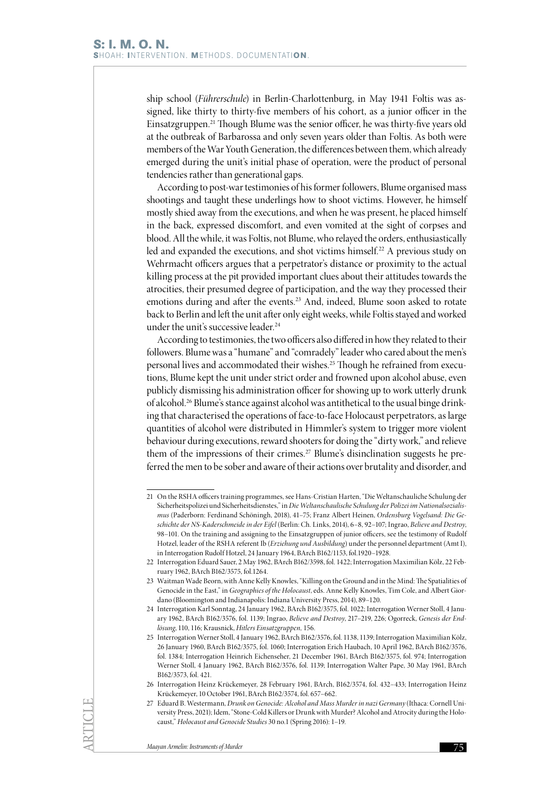ship school (*Führerschule*) in Berlin-Charlottenburg, in May 1941 Foltis was assigned, like thirty to thirty-five members of his cohort, as a junior officer in the Einsatzgruppen.21 Though Blume was the senior officer, he was thirty-five years old at the outbreak of Barbarossa and only seven years older than Foltis. As both were members of the War Youth Generation, the differences between them, which already emerged during the unit's initial phase of operation, were the product of personal tendencies rather than generational gaps.

According to post-war testimonies of his former followers, Blume organised mass shootings and taught these underlings how to shoot victims. However, he himself mostly shied away from the executions, and when he was present, he placed himself in the back, expressed discomfort, and even vomited at the sight of corpses and blood. All the while, it was Foltis, not Blume, who relayed the orders, enthusiastically led and expanded the executions, and shot victims himself.<sup>22</sup> A previous study on Wehrmacht officers argues that a perpetrator's distance or proximity to the actual killing process at the pit provided important clues about their attitudes towards the atrocities, their presumed degree of participation, and the way they processed their emotions during and after the events.<sup>23</sup> And, indeed, Blume soon asked to rotate back to Berlin and left the unit after only eight weeks, while Foltis stayed and worked under the unit's successive leader.<sup>24</sup>

According to testimonies, the two officers also differed in how they related to their followers. Blume was a "humane" and "comradely" leader who cared about the men's personal lives and accommodated their wishes.<sup>25</sup> Though he refrained from executions, Blume kept the unit under strict order and frowned upon alcohol abuse, even publicly dismissing his administration officer for showing up to work utterly drunk of alcohol.26 Blume's stance against alcohol was antithetical to the usual binge drinking that characterised the operations of face-to-face Holocaust perpetrators, as large quantities of alcohol were distributed in Himmler's system to trigger more violent behaviour during executions, reward shooters for doing the "dirty work," and relieve them of the impressions of their crimes.<sup>27</sup> Blume's disinclination suggests he preferred the men to be sober and aware of their actions over brutality and disorder, and

<sup>21</sup> On the RSHA officers training programmes, see Hans-Cristian Harten, "Die Weltanschauliche Schulung der Sicherheitspolizei und Sicherheitsdienstes," in *Die Weltanschaulische Schulung der Polizei im Nationalsozialismus* (Paderborn: Ferdinand Schöningh, 2018), 41–75; Franz Albert Heinen, *Ordensburg Vogelsand: Die Geschichte der NS-Kaderschmeide in der Eifel* (Berlin: Ch. Links, 2014), 6–8, 92–107; Ingrao, *Believe and Destroy*, 98–101. On the training and assigning to the Einsatzgruppen of junior officers, see the testimony of Rudolf Hotzel, leader of the RSHA referent Ib (*Erziehung und Ausbildung*) under the personnel department (Amt I), in Interrogation Rudolf Hotzel, 24 January 1964, BArch B162/1153, fol.1920–1928.

<sup>22</sup> Interrogation Eduard Sauer, 2 May 1962, BArch B162/3598, fol. 1422; Interrogation Maximilian Kölz, 22 February 1962, BArch B162/3575, fol.1264.

<sup>23</sup> Waitman Wade Beorn, with Anne Kelly Knowles, "Killing on the Ground and in the Mind: The Spatialities of Genocide in the East," in *Geographies of the Holocaust*, eds. Anne Kelly Knowles, Tim Cole, and Albert Giordano (Bloomington and Indianapolis: Indiana University Press, 2014), 89–120.

<sup>24</sup> Interrogation Karl Sonntag, 24 January 1962, BArch B162/3575, fol. 1022; Interrogation Werner Stoll, 4 January 1962, BArch B162/3576, fol. 1139; Ingrao, *Believe and Destroy*, 217–219, 226; Ogorreck, *Genesis der Endlösung*, 110, 116; Krausnick, *Hitlers Einsatzgruppen,* 156.

<sup>25</sup> Interrogation Werner Stoll, 4 January 1962, BArch B162/3576, fol. 1138, 1139; Interrogation Maximilian Kölz, 26 January 1960, BArch B162/3575, fol. 1060; Interrogation Erich Haubach, 10 April 1962, BArch B162/3576, fol. 1384; Interrogation Heinrich Eichenseher, 21 December 1961, BArch B162/3575, fol. 974; Interrogation Werner Stoll, 4 January 1962, BArch B162/3576, fol. 1139; Interrogation Walter Pape, 30 May 1961, BArch B162/3573, fol. 421.

<sup>26</sup> Interrogation Heinz Krückemeyer, 28 February 1961, BArch, B162/3574, fol. 432–433; Interrogation Heinz Krückemeyer, 10 October 1961, BArch B162/3574, fol. 657–662.

<sup>27</sup> Eduard B. Westermann, *Drunk on Genocide: Alcohol and Mass Murder in nazi Germany* (Ithaca: Cornell University Press, 2021); Idem, "Stone-Cold Killers or Drunk with Murder? Alcohol and Atrocity during the Holocaust," *Holocaust and Genocide Studies* 30 no.1 (Spring 2016): 1–19.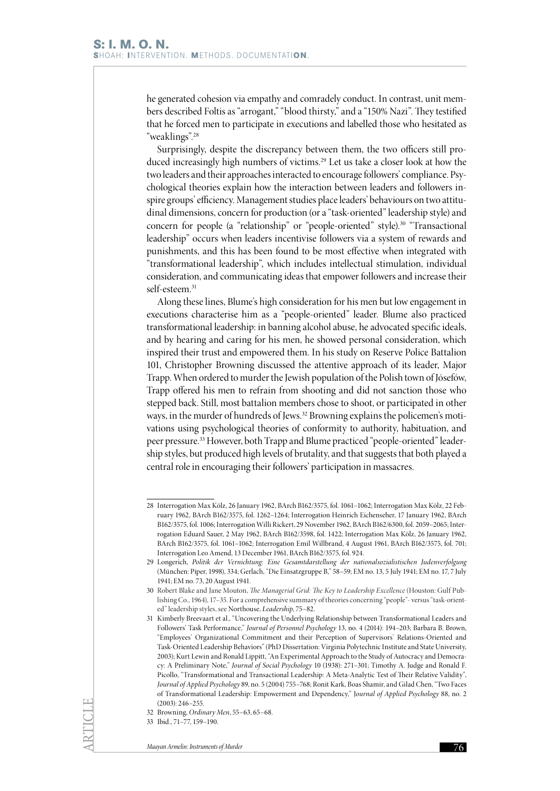he generated cohesion via empathy and comradely conduct. In contrast, unit members described Foltis as "arrogant," "blood thirsty," and a "150% Nazi". They testified that he forced men to participate in executions and labelled those who hesitated as "weaklings".28

Surprisingly, despite the discrepancy between them, the two officers still produced increasingly high numbers of victims.<sup>29</sup> Let us take a closer look at how the two leaders and their approaches interacted to encourage followers' compliance. Psychological theories explain how the interaction between leaders and followers inspire groups' efficiency. Management studies place leaders' behaviours on two attitudinal dimensions, concern for production (or a "task-oriented" leadership style) and concern for people (a "relationship" or "people-oriented" style).<sup>30</sup> "Transactional leadership" occurs when leaders incentivise followers via a system of rewards and punishments, and this has been found to be most effective when integrated with "transformational leadership", which includes intellectual stimulation, individual consideration, and communicating ideas that empower followers and increase their self-esteem.<sup>31</sup>

Along these lines, Blume's high consideration for his men but low engagement in executions characterise him as a "people-oriented" leader. Blume also practiced transformational leadership: in banning alcohol abuse, he advocated specific ideals, and by hearing and caring for his men, he showed personal consideration, which inspired their trust and empowered them. In his study on Reserve Police Battalion 101, Christopher Browning discussed the attentive approach of its leader, Major Trapp. When ordered to murder the Jewish population of the Polish town of Jósefów, Trapp offered his men to refrain from shooting and did not sanction those who stepped back. Still, most battalion members chose to shoot, or participated in other ways, in the murder of hundreds of Jews.<sup>32</sup> Browning explains the policemen's motivations using psychological theories of conformity to authority, habituation, and peer pressure.33 However, both Trapp and Blume practiced "people-oriented" leadership styles, but produced high levels of brutality, and that suggests that both played a central role in encouraging their followers' participation in massacres.

<sup>28</sup> Interrogation Max Kölz, 26 January 1962, BArch B162/3575, fol. 1061–1062; Interrogation Max Kölz, 22 February 1962, BArch B162/3575, fol. 1262–1264; Interrogation Heinrich Eichenseher, 17 January 1962, BArch B162/3575, fol. 1006; Interrogation Willi Rickert, 29 November 1962, BArch B162/6300, fol. 2059–2065; Interrogation Eduard Sauer, 2 May 1962, BArch B162/3598, fol. 1422; Interrogation Max Kölz, 26 January 1962, BArch B162/3575, fol. 1061–1062; Interrogation Emil Willbrand, 4 August 1961, BArch B162/3575, fol. 701; Interrogation Leo Amend, 13 December 1961, BArch B162/3575, fol. 924.

<sup>29</sup> Longerich, *Politik der Vernichtung: Eine Gesamtdarstellung der nationalsozialistischen Judenverfolgung* (München: Piper, 1998), 334; Gerlach, "Die Einsatzgruppe B," 58–59; EM no. 13, 5 July 1941; EM no. 17, 7 July 1941; EM no. 73, 20 August 1941.

<sup>30</sup> Robert Blake and Jane Mouton, *The Managerial Grid: The Key to Leadership Excellence* (Houston: Gulf Publishing Co., 1964), 17–35. For a comprehensive summary of theories concerning "people"- versus "task-oriented" leadership styles, see Northouse, *Leadership*, 75–82.

<sup>31</sup> Kimberly Breevaart et al., "Uncovering the Underlying Relationship between Transformational Leaders and Followers' Task Performance," *Journal of Personnel Psychology* 13, no. 4 (2014): 194–203; Barbara B. Brown, "Employees' Organizational Commitment and their Perception of Supervisors' Relations-Oriented and Task-Oriented Leadership Behaviors" (PhD Dissertation: Virginia Polytechnic Institute and State University, 2003); Kurt Lewin and Ronald Lippitt, "An Experimental Approach to the Study of Autocracy and Democracy: A Preliminary Note," *Journal of Social Psychology* 10 (1938): 271–301; Timothy A. Judge and Ronald F. Picollo, "Transformational and Transactional Leadership: A Meta-Analytic Test of Their Relative Validity", *Journal of Applied Psychology* 89, no. 5 (2004) 755–768; Ronit Kark, Boas Shamir, and Gilad Chen, "Two Faces of Transformational Leadership: Empowerment and Dependency," J*ournal of Applied Psychology* 88, no. 2 (2003): 246–255.

<sup>32</sup> Browning, *Ordinary Men*, 55–63, 65–68.

<sup>33</sup> Ibid., 71–77, 159–190.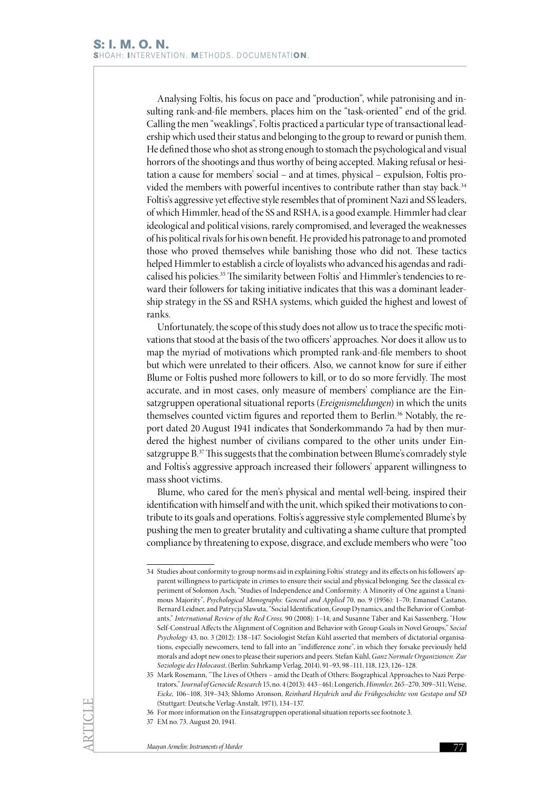Analysing Foltis, his focus on pace and "production", while patronising and insulting rank-and-file members, places him on the "task-oriented" end of the grid. Calling the men "weaklings", Foltis practiced a particular type of transactional leadership which used their status and belonging to the group to reward or punish them. He defined those who shot as strong enough to stomach the psychological and visual horrors of the shootings and thus worthy of being accepted. Making refusal or hesitation a cause for members' social – and at times, physical – expulsion, Foltis provided the members with powerful incentives to contribute rather than stay back.<sup>34</sup> Foltis's aggressive yet effective style resembles that of prominent Nazi and SS leaders, of which Himmler, head of the SS and RSHA, is a good example. Himmler had clear ideological and political visions, rarely compromised, and leveraged the weaknesses of his political rivals for his own benefit. He provided his patronage to and promoted those who proved themselves while banishing those who did not. These tactics helped Himmler to establish a circle of loyalists who advanced his agendas and radicalised his policies.<sup>35</sup> The similarity between Foltis' and Himmler's tendencies to reward their followers for taking initiative indicates that this was a dominant leadership strategy in the SS and RSHA systems, which guided the highest and lowest of ranks.

Unfortunately, the scope of this study does not allow us to trace the specific motivations that stood at the basis of the two officers' approaches. Nor does it allow us to map the myriad of motivations which prompted rank-and-file members to shoot but which were unrelated to their officers. Also, we cannot know for sure if either Blume or Foltis pushed more followers to kill, or to do so more fervidly. The most accurate, and in most cases, only measure of members' compliance are the Einsatzgruppen operational situational reports (*Ereignismeldungen*) in which the units themselves counted victim figures and reported them to Berlin.<sup>36</sup> Notably, the report dated 20 August 1941 indicates that Sonderkommando 7a had by then murdered the highest number of civilians compared to the other units under Einsatzgruppe B.37 This suggests that the combination between Blume's comradely style and Foltis's aggressive approach increased their followers' apparent willingness to mass shoot victims.

Blume, who cared for the men's physical and mental well-being, inspired their identification with himself and with the unit, which spiked their motivations to contribute to its goals and operations. Foltis's aggressive style complemented Blume's by pushing the men to greater brutality and cultivating a shame culture that prompted compliance by threatening to expose, disgrace, and exclude members who were "too

<sup>34</sup> Studies about conformity to group norms aid in explaining Foltis' strategy and its effects on his followers' apparent willingness to participate in crimes to ensure their social and physical belonging. See the classical experiment of Solomon Asch, "Studies of Independence and Conformity: A Minority of One against a Unanimous Majority", *Psychological Monographs: General and Applied* 70, no. 9 (1956): 1–70; Emanuel Castano, Bernard Leidner, and Patrycja Slawuta, "Social Identification, Group Dynamics, and the Behavior of Combatants," *International Review of the Red Cross,* 90 (2008): 1–14; and Susanne Täber and Kai Sassenberg, "How Self-Construal Affects the Alignment of Cognition and Behavior with Group Goals in Novel Groups," *Social Psychology* 43, no. 3 (2012): 138–147. Sociologist Stefan Kühl asserted that members of dictatorial organisations, especially newcomers, tend to fall into an "indifference zone", in which they forsake previously held morals and adopt new ones to please their superiors and peers. Stefan Kühl, *Ganz Normale Organizionen: Zur Soziologie des Holocaust*, (Berlin: Suhrkamp Verlag, 2014), 91–93, 98–111, 118, 123, 126–128.

<sup>35</sup> Mark Rosemann, "The Lives of Others – amid the Death of Others: Biographical Approaches to Nazi Perpetrators," *Journal of Genocide Research* 15, no. 4 (2013): 443–461; Longerich, *Himmler,* 265–270, 309–311; Weise, *Eicke,* 106–108, 319–343; Shlomo Aronson, *Reinhard Heydrich und die Frühgeschichte von Gestapo und SD* (Stuttgart: Deutsche Verlag-Anstalt, 1971), 134–137.

<sup>36</sup> For more information on the Einsatzgruppen operational situation reports see footnote 3.

<sup>37</sup> EM no. 73. August 20, 1941.